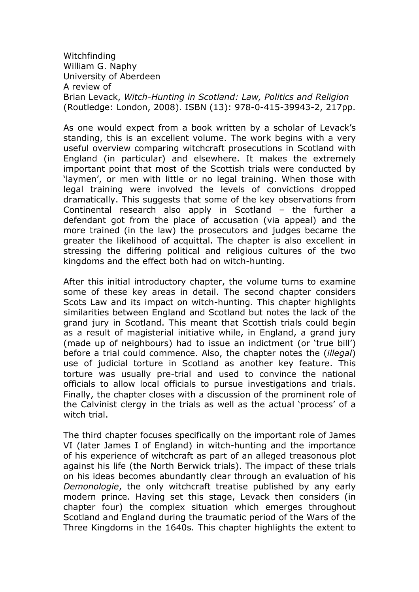Witchfinding William G. Naphy University of Aberdeen A review of Brian Levack, Witch-Hunting in Scotland: Law, Politics and Religion (Routledge: London, 2008). ISBN (13): 978-0-415-39943-2, 217pp.

As one would expect from a book written by a scholar of Levack's standing, this is an excellent volume. The work begins with a very useful overview comparing witchcraft prosecutions in Scotland with England (in particular) and elsewhere. It makes the extremely important point that most of the Scottish trials were conducted by 'laymen', or men with little or no legal training. When those with legal training were involved the levels of convictions dropped dramatically. This suggests that some of the key observations from Continental research also apply in Scotland – the further a defendant got from the place of accusation (via appeal) and the more trained (in the law) the prosecutors and judges became the greater the likelihood of acquittal. The chapter is also excellent in stressing the differing political and religious cultures of the two kingdoms and the effect both had on witch-hunting.

After this initial introductory chapter, the volume turns to examine some of these key areas in detail. The second chapter considers Scots Law and its impact on witch-hunting. This chapter highlights similarities between England and Scotland but notes the lack of the grand jury in Scotland. This meant that Scottish trials could begin as a result of magisterial initiative while, in England, a grand jury (made up of neighbours) had to issue an indictment (or 'true bill') before a trial could commence. Also, the chapter notes the (illegal) use of judicial torture in Scotland as another key feature. This torture was usually pre-trial and used to convince the national officials to allow local officials to pursue investigations and trials. Finally, the chapter closes with a discussion of the prominent role of the Calvinist clergy in the trials as well as the actual 'process' of a witch trial.

The third chapter focuses specifically on the important role of James VI (later James I of England) in witch-hunting and the importance of his experience of witchcraft as part of an alleged treasonous plot against his life (the North Berwick trials). The impact of these trials on his ideas becomes abundantly clear through an evaluation of his Demonologie, the only witchcraft treatise published by any early modern prince. Having set this stage, Levack then considers (in chapter four) the complex situation which emerges throughout Scotland and England during the traumatic period of the Wars of the Three Kingdoms in the 1640s. This chapter highlights the extent to